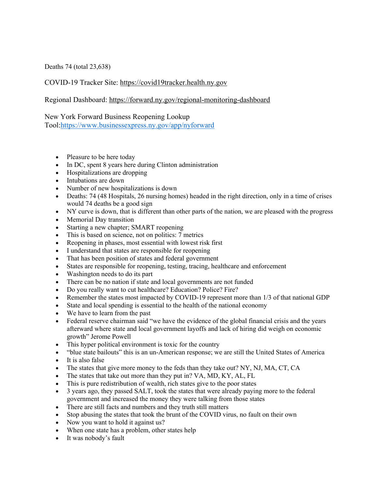Deaths 74 (total 23,638)

## COVID-19 Tracker Site: https://covid19tracker.health.ny.gov

## Regional Dashboard: https://forward.ny.gov/regional-monitoring-dashboard

## New York Forward Business Reopening Lookup

Tool:https://www.businessexpress.ny.gov/app/nyforward

- Pleasure to be here today
- In DC, spent 8 years here during Clinton administration
- Hospitalizations are dropping
- Intubations are down
- Number of new hospitalizations is down
- Deaths: 74 (48 Hospitals, 26 nursing homes) headed in the right direction, only in a time of crises would 74 deaths be a good sign
- NY curve is down, that is different than other parts of the nation, we are pleased with the progress
- Memorial Day transition
- Starting a new chapter; SMART reopening
- This is based on science, not on politics: 7 metrics
- Reopening in phases, most essential with lowest risk first
- I understand that states are responsible for reopening
- That has been position of states and federal government
- States are responsible for reopening, testing, tracing, healthcare and enforcement
- Washington needs to do its part
- There can be no nation if state and local governments are not funded
- Do you really want to cut healthcare? Education? Police? Fire?
- Remember the states most impacted by COVID-19 represent more than 1/3 of that national GDP
- State and local spending is essential to the health of the national economy
- We have to learn from the past
- Federal reserve chairman said "we have the evidence of the global financial crisis and the years afterward where state and local government layoffs and lack of hiring did weigh on economic growth" Jerome Powell
- This hyper political environment is toxic for the country
- "blue state bailouts" this is an un-American response; we are still the United States of America
- It is also false
- The states that give more money to the feds than they take out? NY, NJ, MA, CT, CA
- The states that take out more than they put in? VA, MD, KY, AL, FL
- This is pure redistribution of wealth, rich states give to the poor states
- 3 years ago, they passed SALT, took the states that were already paying more to the federal government and increased the money they were talking from those states
- There are still facts and numbers and they truth still matters
- Stop abusing the states that took the brunt of the COVID virus, no fault on their own
- Now you want to hold it against us?
- When one state has a problem, other states help
- It was nobody's fault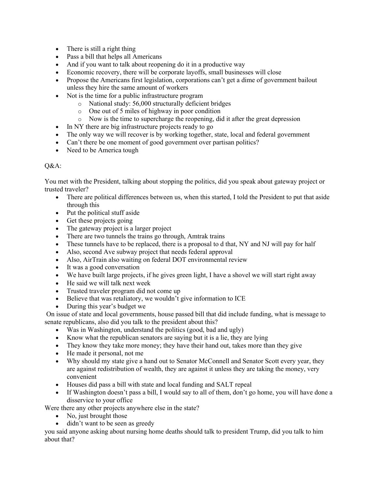- There is still a right thing
- Pass a bill that helps all Americans
- And if you want to talk about reopening do it in a productive way
- Economic recovery, there will be corporate layoffs, small businesses will close
- Propose the Americans first legislation, corporations can't get a dime of government bailout unless they hire the same amount of workers
- Not is the time for a public infrastructure program
	- o National study: 56,000 structurally deficient bridges
	- o One out of 5 miles of highway in poor condition
	- o Now is the time to supercharge the reopening, did it after the great depression
- In NY there are big infrastructure projects ready to go
- The only way we will recover is by working together, state, local and federal government
- Can't there be one moment of good government over partisan politics?
- Need to be America tough

## Q&A:

You met with the President, talking about stopping the politics, did you speak about gateway project or trusted traveler?

- There are political differences between us, when this started, I told the President to put that aside through this
- Put the political stuff aside
- Get these projects going
- The gateway project is a larger project
- There are two tunnels the trains go through, Amtrak trains
- These tunnels have to be replaced, there is a proposal to d that, NY and NJ will pay for half
- Also, second Ave subway project that needs federal approval
- Also, AirTrain also waiting on federal DOT environmental review
- It was a good conversation
- We have built large projects, if he gives green light, I have a shovel we will start right away
- He said we will talk next week
- Trusted traveler program did not come up
- Believe that was retaliatory, we wouldn't give information to ICE
- During this year's budget we

On issue of state and local governments, house passed bill that did include funding, what is message to senate republicans, also did you talk to the president about this?

- Was in Washington, understand the politics (good, bad and ugly)
- Know what the republican senators are saying but it is a lie, they are lying
- They know they take more money; they have their hand out, takes more than they give
- He made it personal, not me
- Why should my state give a hand out to Senator McConnell and Senator Scott every year, they are against redistribution of wealth, they are against it unless they are taking the money, very convenient
- Houses did pass a bill with state and local funding and SALT repeal
- If Washington doesn't pass a bill, I would say to all of them, don't go home, you will have done a disservice to your office

Were there any other projects anywhere else in the state?

- No, just brought those
- didn't want to be seen as greedy

you said anyone asking about nursing home deaths should talk to president Trump, did you talk to him about that?